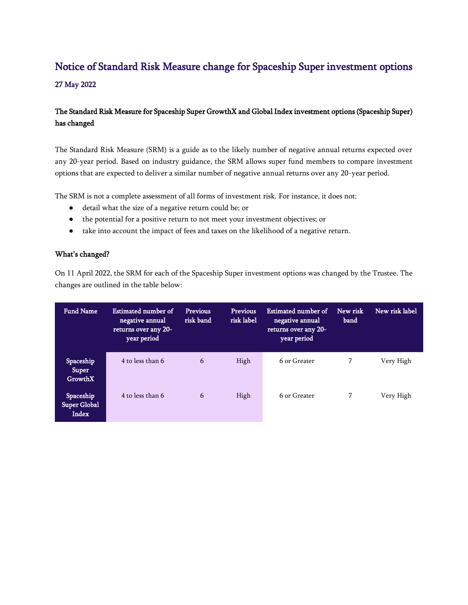# Notice of Standard Risk Measure change for Spaceship Super investment options

### 27 May 2022

## The Standard Risk Measure for Spaceship Super GrowthX and Global Index investment options (Spaceship Super) has changed

The Standard Risk Measure (SRM) is a guide as to the likely number of negative annual returns expected over any 20-year period. Based on industry guidance, the SRM allows super fund members to compare investment options that are expected to deliver a similar number of negative annual returns over any 20-year period.

The SRM is not a complete assessment of all forms of investment risk. For instance, it does not:

- detail what the size of a negative return could be; or
- the potential for a positive return to not meet your investment objectives; or
- take into account the impact of fees and taxes on the likelihood of a negative return.

#### What's changed?

On 11 April 2022, the SRM for each of the Spaceship Super investment options was changed by the Trustee. The changes are outlined in the table below:

| <b>Fund Name</b>                          | Estimated number of<br>negative annual<br>returns over any 20-<br>year period | <b>Previous</b><br>risk band | <b>Previous</b><br>risk label | Estimated number of<br>negative annual<br>returns over any 20-<br>year period | New risk<br>band | New risk label |
|-------------------------------------------|-------------------------------------------------------------------------------|------------------------------|-------------------------------|-------------------------------------------------------------------------------|------------------|----------------|
| Spaceship<br>Super<br>GrowthX             | 4 to less than 6                                                              | 6                            | High                          | 6 or Greater                                                                  | 7                | Very High      |
| Spaceship<br><b>Super Global</b><br>Index | 4 to less than 6                                                              | 6                            | High                          | 6 or Greater                                                                  | 7                | Very High      |